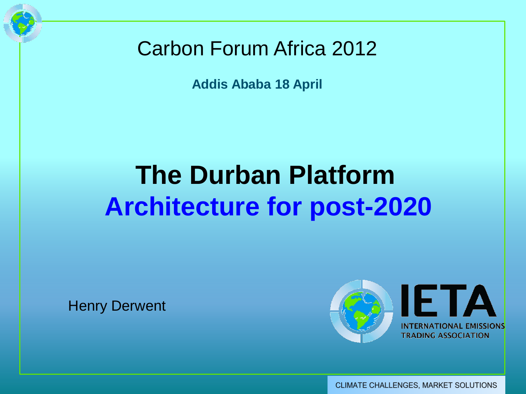

**Addis Ababa 18 April** 

# **The Durban Platform Architecture for post-2020**

Henry Derwent



CLIMATE CHALLENGES, MARKET SOLUTIONS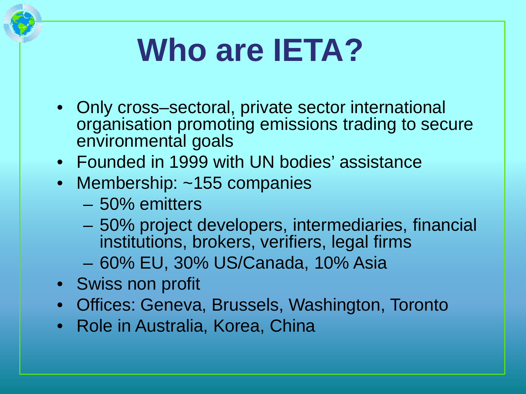# **Who are IETA?**

- Only cross–sectoral, private sector international organisation promoting emissions trading to secure environmental goals
- Founded in 1999 with UN bodies' assistance
- Membership: ~155 companies
	- 50% emitters
	- 50% project developers, intermediaries, financial institutions, brokers, verifiers, legal firms
	- 60% EU, 30% US/Canada, 10% Asia
- Swiss non profit
- Offices: Geneva, Brussels, Washington, Toronto
- Role in Australia, Korea, China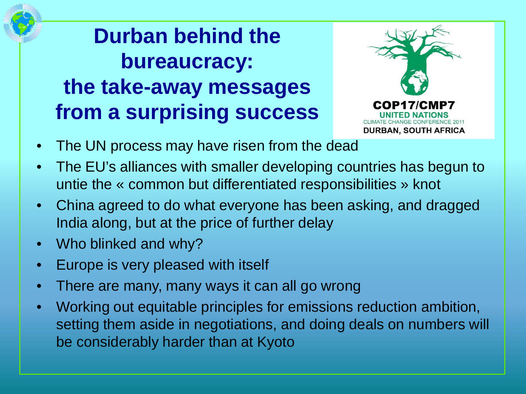**Durban behind the bureaucracy: the take-away messages from a surprising success**



- The UN process may have risen from the dead
- The EU's alliances with smaller developing countries has begun to untie the « common but differentiated responsibilities » knot
- China agreed to do what everyone has been asking, and dragged India along, but at the price of further delay
- Who blinked and why?
- Europe is very pleased with itself
- There are many, many ways it can all go wrong
- Working out equitable principles for emissions reduction ambition, setting them aside in negotiations, and doing deals on numbers will be considerably harder than at Kyoto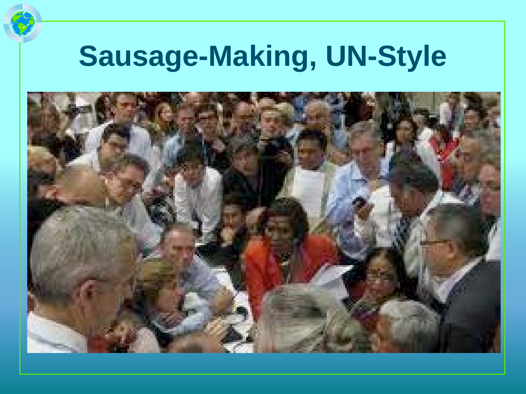# **Sausage-Making, UN-Style**

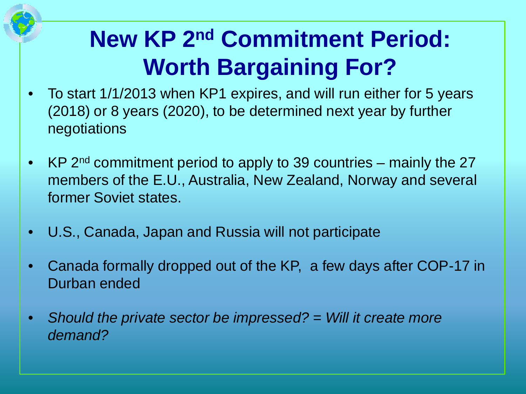## **New KP 2nd Commitment Period: Worth Bargaining For?**

- To start 1/1/2013 when KP1 expires, and will run either for 5 years (2018) or 8 years (2020), to be determined next year by further negotiations
- KP 2<sup>nd</sup> commitment period to apply to 39 countries mainly the 27 members of the E.U., Australia, New Zealand, Norway and several former Soviet states.
- U.S., Canada, Japan and Russia will not participate
- Canada formally dropped out of the KP, a few days after COP-17 in Durban ended
- *Should the private sector be impressed? = Will it create more demand?*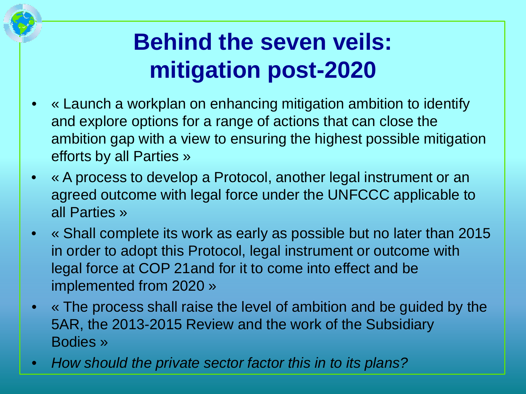### **Behind the seven veils: mitigation post-2020**

- « Launch a workplan on enhancing mitigation ambition to identify and explore options for a range of actions that can close the ambition gap with a view to ensuring the highest possible mitigation efforts by all Parties »
- « A process to develop a Protocol, another legal instrument or an agreed outcome with legal force under the UNFCCC applicable to all Parties »
- « Shall complete its work as early as possible but no later than 2015 in order to adopt this Protocol, legal instrument or outcome with legal force at COP 21and for it to come into effect and be implemented from 2020 »
- « The process shall raise the level of ambition and be guided by the 5AR, the 2013-2015 Review and the work of the Subsidiary Bodies »
- *How should the private sector factor this in to its plans?*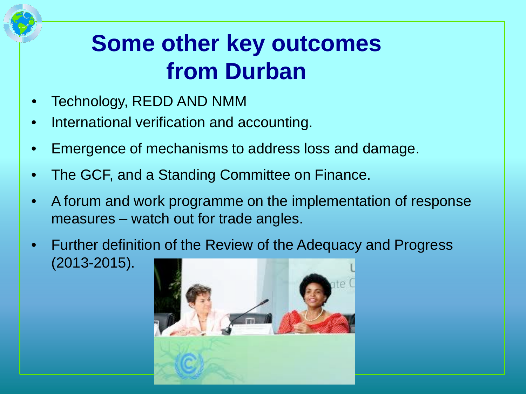### **Some other key outcomes from Durban**

- Technology, REDD AND NMM
- International verification and accounting.
- Emergence of mechanisms to address loss and damage.
- The GCF, and a Standing Committee on Finance.
- A forum and work programme on the implementation of response measures – watch out for trade angles.
- Further definition of the Review of the Adequacy and Progress (2013-2015).

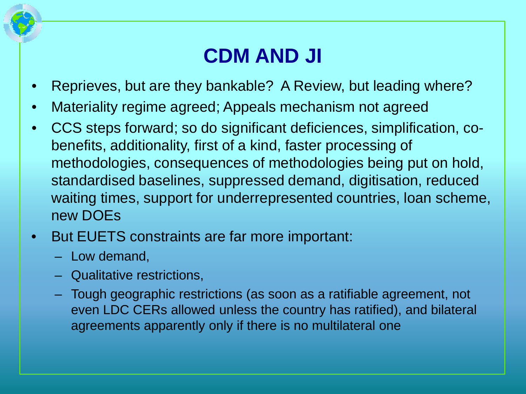#### **CDM AND JI**

- Reprieves, but are they bankable? A Review, but leading where?
- Materiality regime agreed; Appeals mechanism not agreed
- CCS steps forward; so do significant deficiences, simplification, cobenefits, additionality, first of a kind, faster processing of methodologies, consequences of methodologies being put on hold, standardised baselines, suppressed demand, digitisation, reduced waiting times, support for underrepresented countries, loan scheme, new DOEs
- But EUETS constraints are far more important:
	- Low demand,
	- Qualitative restrictions,
	- Tough geographic restrictions (as soon as a ratifiable agreement, not even LDC CERs allowed unless the country has ratified), and bilateral agreements apparently only if there is no multilateral one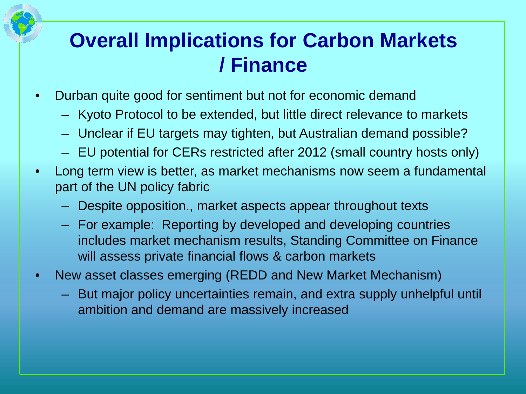#### **Overall Implications for Carbon Markets / Finance**

- Durban quite good for sentiment but not for economic demand
	- Kyoto Protocol to be extended, but little direct relevance to markets
	- Unclear if EU targets may tighten, but Australian demand possible?
	- EU potential for CERs restricted after 2012 (small country hosts only)
- Long term view is better, as market mechanisms now seem a fundamental part of the UN policy fabric
	- Despite opposition., market aspects appear throughout texts
	- For example: Reporting by developed and developing countries includes market mechanism results, Standing Committee on Finance will assess private financial flows & carbon markets
- New asset classes emerging (REDD and New Market Mechanism)
	- But major policy uncertainties remain, and extra supply unhelpful until ambition and demand are massively increased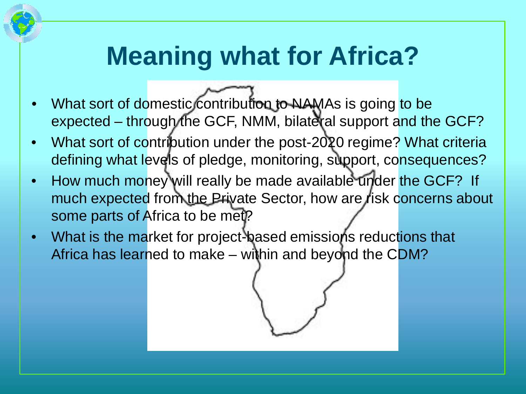# **Meaning what for Africa?**

- What sort of domestic contribution to NAMAs is going to be expected – through the GCF, NMM, bilateral support and the GCF?
- What sort of contribution under the post-2020 regime? What criteria defining what levels of pledge, monitoring, support, consequences?
- How much money will really be made available under the GCF? If much expected from the Private Sector, how are risk concerns about some parts of Africa to be met?
- What is the market for project-based emissions reductions that Africa has learned to make – within and beyond the CDM?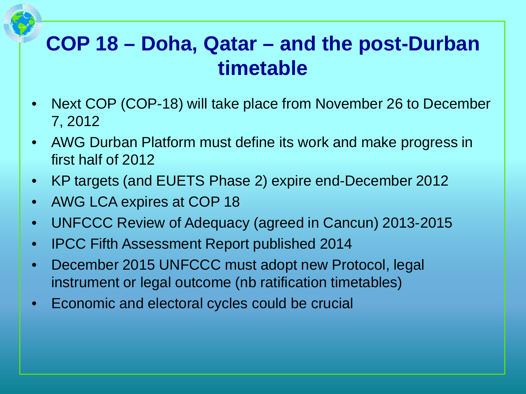#### **COP 18 – Doha, Qatar – and the post-Durban timetable**

- Next COP (COP-18) will take place from November 26 to December 7, 2012
- AWG Durban Platform must define its work and make progress in first half of 2012
- KP targets (and EUETS Phase 2) expire end-December 2012
- AWG LCA expires at COP 18
- UNFCCC Review of Adequacy (agreed in Cancun) 2013-2015
- IPCC Fifth Assessment Report published 2014
- December 2015 UNFCCC must adopt new Protocol, legal instrument or legal outcome (nb ratification timetables)
- Economic and electoral cycles could be crucial